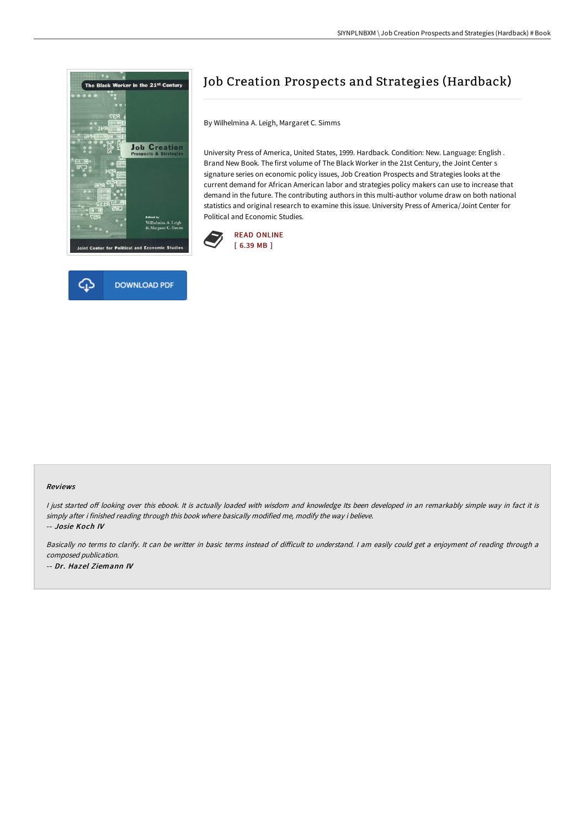



# Job Creation Prospects and Strategies (Hardback)

By Wilhelmina A. Leigh, Margaret C. Simms

University Press of America, United States, 1999. Hardback. Condition: New. Language: English . Brand New Book. The first volume of The Black Worker in the 21st Century, the Joint Center s signature series on economic policy issues, Job Creation Prospects and Strategies looks at the current demand for African American labor and strategies policy makers can use to increase that demand in the future. The contributing authors in this multi-author volume draw on both national statistics and original research to examine this issue. University Press of America/Joint Center for Political and Economic Studies.



#### Reviews

I just started off looking over this ebook. It is actually loaded with wisdom and knowledge Its been developed in an remarkably simple way in fact it is simply after i finished reading through this book where basically modified me, modify the way i believe. -- Josie Koch IV

Basically no terms to clarify. It can be writter in basic terms instead of difficult to understand. I am easily could get a enjoyment of reading through a composed publication. -- Dr. Hazel Ziemann IV